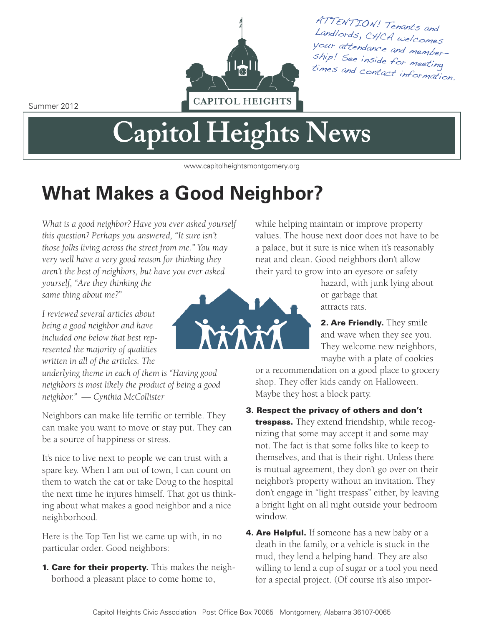

ATTENTION! Tenants and Landlords, CHCA welcomes s your attendance and memberhip! See inside for meeting times and contact information.

Summer 2012

# **Capitol Heights News**

www.capitolheightsmontgomery.org

# **What Makes a Good Neighbor?**

*What is a good neighbor? Have you ever asked yourself this question? Perhaps you answered, "It sure isn't those folks living across the street from me." You may very well have a very good reason for thinking they aren't the best of neighbors, but have you ever asked yourself, "Are they thinking the same thing about me?"*

*I reviewed several articles about being a good neighbor and have included one below that best represented the majority of qualities*

*written in all of the articles. The underlying theme in each of them is "Having good neighbors is most likely the product of being a good neighbor." — Cynthia McCollister*

Neighbors can make life terrific or terrible. They can make you want to move or stay put. They can be a source of happiness or stress.

It's nice to live next to people we can trust with a spare key. When I am out of town, I can count on them to watch the cat or take Doug to the hospital the next time he injures himself. That got us thinking about what makes a good neighbor and a nice neighborhood.

Here is the Top Ten list we came up with, in no particular order. Good neighbors:

**1. Care for their property.** This makes the neighborhood a pleasant place to come home to,



while helping maintain or improve property values. The house next door does not have to be a palace, but it sure is nice when it's reasonably neat and clean. Good neighbors don't allow their yard to grow into an eyesore or safety

> hazard, with junk lying about or garbage that attracts rats.

**2. Are Friendly.** They smile and wave when they see you. They welcome new neighbors, maybe with a plate of cookies

or a recommendation on a good place to grocery shop. They offer kids candy on Halloween. Maybe they host a block party.

- **3. Respect the privacy of others and don't trespass.** They extend friendship, while recognizing that some may accept it and some may not. The fact is that some folks like to keep to themselves, and that is their right. Unless there is mutual agreement, they don't go over on their neighbor's property without an invitation. They don't engage in "light trespass" either, by leaving a bright light on all night outside your bedroom window.
- **4. Are Helpful.** If someone has a new baby or a death in the family, or a vehicle is stuck in the mud, they lend a helping hand. They are also willing to lend a cup of sugar or a tool you need for a special project. (Of course it's also impor-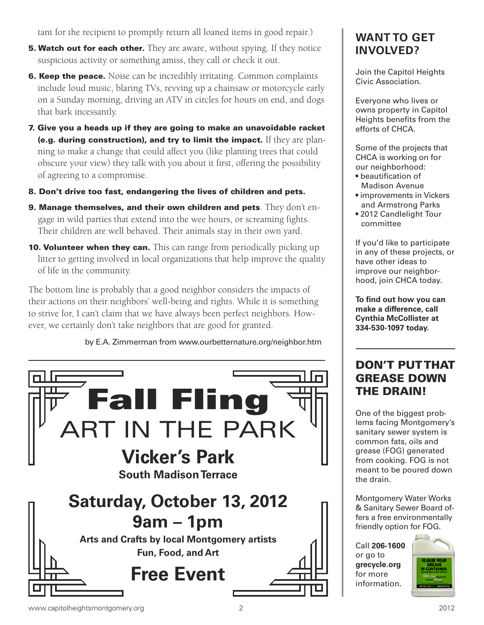tant for the recipient to promptly return all loaned items in good repair.)

- **5. Watch out for each other.** They are aware, without spying. If they notice suspicious activity or something amiss, they call or check it out.
- **6. Keep the peace.** Noise can be incredibly irritating. Common complaints include loud music, blaring TVs, revving up a chainsaw or motorcycle early on a Sunday morning, driving an ATV in circles for hours on end, and dogs that bark incessantly.
- **7. Give you a heads up if they are going to make an unavoidable racket (e.g. during construction), and try to limit the impact.** If they are planning to make a change that could affect you (like planting trees that could obscure your view) they talk with you about it first, offering the possibility of agreeing to a compromise.
- **8. Don't drive too fast, endangering the lives of children and pets.**
- **9. Manage themselves, and their own children and pets**. They don't engage in wild parties that extend into the wee hours, or screaming fights. Their children are well behaved. Their animals stay in their own yard.
- **10. Volunteer when they can.** This can range from periodically picking up litter to getting involved in local organizations that help improve the quality of life in the community.

The bottom line is probably that a good neighbor considers the impacts of their actions on their neighbors' well-being and rights. While it is something to strive for, I can't claim that we have always been perfect neighbors. However, we certainly don't take neighbors that are good for granted.

by E.A. Zimmerman from www.ourbetternature.org/neighbor.htm



#### **WANT TO GET INVOLVED?**

Join the Capitol Heights Civic Association.

Everyone who lives or owns property in Capitol Heights benefits from the efforts of CHCA.

Some of the projects that CHCA is working on for our neighborhood:

- beautification of Madison Avenue
- improvements in Vickers and Armstrong Parks
- 2012 Candlelight Tour committee

If you'd like to participate in any of these projects, or have other ideas to improve our neighborhood, join CHCA today.

**To find out how you can make a difference, call Cynthia McCollister at 334-530-1097 today.**

#### **DON'T PUTTHAT GREASE DOWN THE DRAIN!**

One of the biggest problems facing Montgomery's sanitary sewer system is common fats, oils and grease (FOG) generated from cooking. FOG is not meant to be poured down the drain.

Montgomery Water Works & Sanitary Sewer Board offers a free environmentally friendly option for FOG.

Call **206-1600** or go to **grecycle.org** for more information.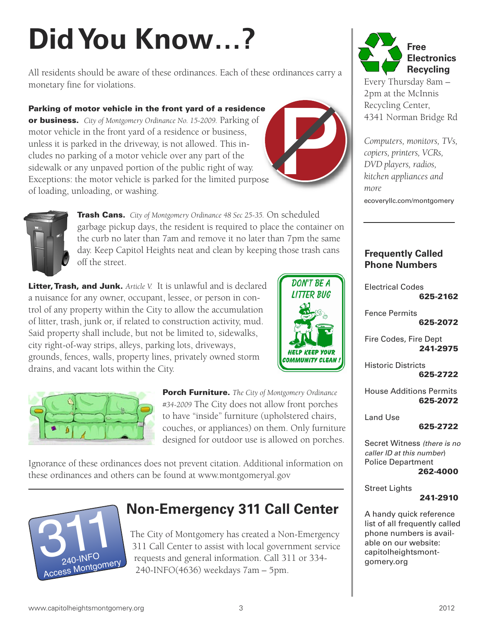# **DidYou Know…?**

All residents should be aware of these ordinances. Each of these ordinances carry a monetary fine for violations.

#### **Parking of motor vehicle in the front yard of a residence**

**or business.** *City of Montgomery Ordinance No. 15-2009.* Parking of motor vehicle in the front yard of a residence or business, unless it is parked in the driveway, is not allowed. This includes no parking of a motor vehicle over any part of the sidewalk or any unpaved portion of the public right of way. Exceptions: the motor vehicle is parked for the limited purpose of loading, unloading, or washing.



**DON'T BE A LITTER BUG** 

EEP YOUT



**Trash Cans.** *City of Montgomery Ordinance 48 Sec 25-35.* On scheduled garbage pickup days, the resident is required to place the container on the curb no later than 7am and remove it no later than 7pm the same day. Keep Capitol Heights neat and clean by keeping those trash cans off the street.

**Litter,Trash, and Junk.** *Article V.* It is unlawful and is declared a nuisance for any owner, occupant, lessee, or person in control of any property within the City to allow the accumulation of litter, trash, junk or, if related to construction activity, mud. Said property shall include, but not be limited to, sidewalks, city right-of-way strips, alleys, parking lots, driveways, grounds, fences, walls, property lines, privately owned storm drains, and vacant lots within the City.



**Porch Furniture.** *The City of Montgomery Ordinance #34-2009* The City does not allow front porches to have "inside" furniture (upholstered chairs, couches, or appliances) on them. Only furniture designed for outdoor use is allowed on porches.

Ignorance of these ordinances does not prevent citation. Additional information on these ordinances and others can be found at www.montgomeryal.gov



### **Non-Emergency 311 Call Center**

The City of Montgomery has created a Non-Emergency 311 Call Center to assist with local government service requests and general information. Call 311 or 334- 240-INFO(4636) weekdays 7am – 5pm.



Every Thursday 8am – 2pm at the McInnis Recycling Center, 4341 Norman Bridge Rd

*Computers, monitors, TVs, copiers, printers, VCRs, DVD players, radios, kitchen appliances and more* ecoveryllc.com/montgomery

#### **Frequently Called Phone Numbers**

Electrical Codes **625-2162**

Fence Permits **625-2072**

Fire Codes, Fire Dept **241-2975**

Historic Districts **625-2722**

House Additions Permits **625-2072**

Land Use

**625-2722**

Secret Witness *(there is no caller ID at this number*) Police Department **262-4000**

Street Lights

#### **241-2910**

A handy quick reference list of all frequently called phone numbers is available on our website: capitolheightsmontgomery.org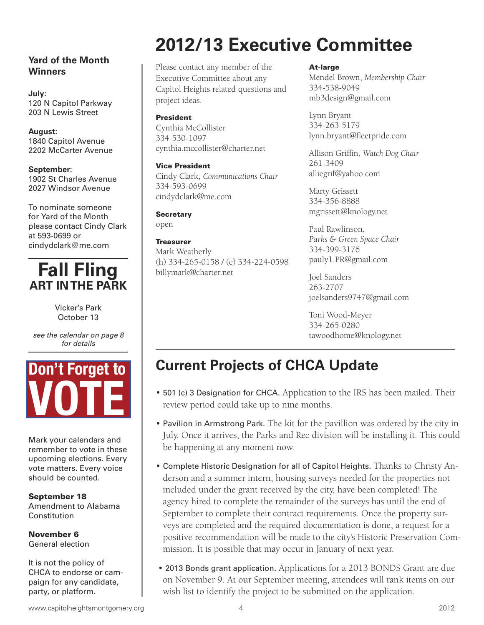#### **Yard of the Month Winners**

**July:** 120 N Capitol Parkway 203 N Lewis Street

**August:** 1840 Capitol Avenue 2202 McCarter Avenue

**September:** 1902 St Charles Avenue 2027 Windsor Avenue

To nominate someone for Yard of the Month please contact Cindy Clark at 593-0699 or cindydclark@me.com

### **Fall Fling ART INTHE PARK**

Vicker's Park October 13

*see the calendar on page 8 for details*



Mark your calendars and remember to vote in these upcoming elections. Every vote matters. Every voice should be counted.

**September 18** Amendment to Alabama Constitution

**November 6** General election

It is not the policy of CHCA to endorse or campaign for any candidate, party, or platform.

# **2012/13 Executive Committee**

Please contact any member of the Executive Committee about any Capitol Heights related questions and project ideas.

#### **President**

Cynthia McCollister 334-530-1097 cynthia.mccollister@charter.net

**Vice President** Cindy Clark, *Communications Chair* 334-593-0699 cindydclark@me.com

#### **Secretary**

open

#### **Treasurer**

Mark Weatherly (h) 334-265-0158 / (c) 334-224-0598 billymark@charter.net

#### **At-large**

Mendel Brown, *Membership Chair* 334-538-9049 mb3design@gmail.com

Lynn Bryant 334-263-5179 lynn.bryant@fleetpride.com

Allison Griffin, *Watch Dog Chair* 261-3409 alliegrif@yahoo.com

Marty Grissett 334-356-8888 mgrissett@knology.net

Paul Rawlinson, *Parks & Green Space Chair* 334-399-3176 pauly1.PR@gmail.com

Joel Sanders 263-2707 joelsanders9747@gmail.com

Toni Wood-Meyer 334-265-0280 tawoodhome@knology.net

## **Current Projects of CHCA Update**

- 501 (c) 3 Designation for CHCA. Application to the IRS has been mailed. Their review period could take up to nine months.
- Pavilion in Armstrong Park. The kit for the pavillion was ordered by the city in July. Once it arrives, the Parks and Rec division will be installing it. This could be happening at any moment now.
- Complete Historic Designation for all of Capitol Heights. Thanks to Christy Anderson and a summer intern, housing surveys needed for the properties not included under the grant received by the city, have been completed! The agency hired to complete the remainder of the surveys has until the end of September to complete their contract requirements. Once the property surveys are completed and the required documentation is done, a request for a positive recommendation will be made to the city's Historic Preservation Commission. It is possible that may occur in January of next year.
- 2013 Bonds grant application. Applications for a 2013 BONDS Grant are due on November 9. At our September meeting, attendees will rank items on our wish list to identify the project to be submitted on the application.

www.capitolheightsmontgomery.org 12012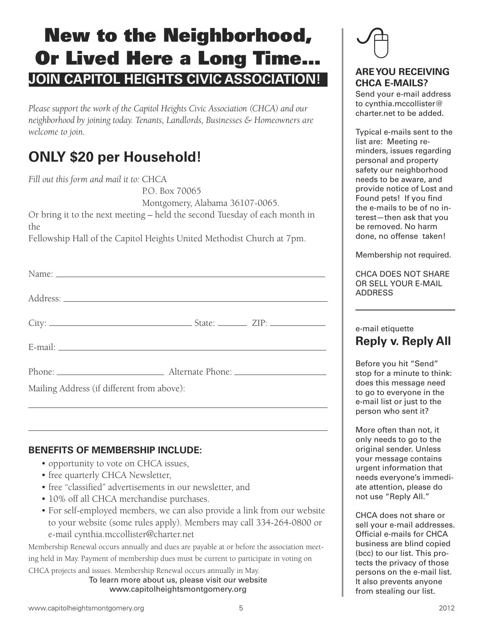# **New to the Neighborhood, Or Lived Here a Long Time… JOIN CAPITOL HEIGHTS CIVIC ASSOCIATION!**

*Please support the work of the Capitol Heights Civic Association (CHCA) and our neighborhood by joining today. Tenants, Landlords, Businesses & Homeowners are welcome to join.*

### **ONLY \$20 per Household!**

*Fill out this form and mail it to:* CHCA

P.O. Box 70065

Montgomery, Alabama 36107-0065.

Or bring it to the next meeting – held the second Tuesday of each month in the

Fellowship Hall of the Capitol Heights United Methodist Church at 7pm.

| Name:                                      |  |  |
|--------------------------------------------|--|--|
|                                            |  |  |
|                                            |  |  |
|                                            |  |  |
|                                            |  |  |
| Mailing Address (if different from above): |  |  |

#### **BENEFITS OF MEMBERSHIP INCLUDE:**

- opportunity to vote on CHCA issues,
- free quarterly CHCA Newsletter,
- free "classified" advertisements in our newsletter, and
- 10% off all CHCA merchandise purchases.
- For self-employed members, we can also provide a link from our website to your website (some rules apply). Members may call 334-264-0800 or e-mail cynthia.mccollister@charter.net

Membership Renewal occurs annually and dues are payable at or before the association meeting held in May. Payment of membership dues must be current to participate in voting on CHCA projects and issues. Membership Renewal occurs annually in May.

To learn more about us, please visit our website www.capitolheightsmontgomery.org



#### **AREYOU RECEIVING CHCA E-MAILS?**

Send your e-mail address to cynthia.mccollister@ charter.net to be added.

Typical e-mails sent to the list are: Meeting reminders, issues regarding personal and property safety our neighborhood needs to be aware, and provide notice of Lost and Found pets! If you find the e-mails to be of no interest—then ask that you be removed. No harm done, no offense taken!

Membership not required.

CHCA DOES NOT SHARE OR SELL YOUR E-MAIL ADDRESS

#### e-mail etiquette **Reply v. Reply All**

Before you hit "Send" stop for a minute to think: does this message need to go to everyone in the e-mail list or just to the person who sent it?

More often than not, it only needs to go to the original sender. Unless your message contains urgent information that needs everyone's immediate attention, please do not use "Reply All."

CHCA does not share or sell your e-mail addresses. Official e-mails for CHCA business are blind copied (bcc) to our list. This protects the privacy of those persons on the e-mail list. It also prevents anyone from stealing our list.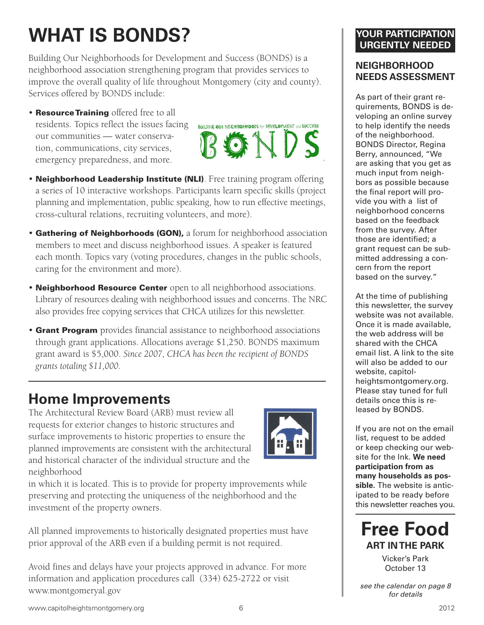# **WHAT IS BONDS?**

Building Our Neighborhoods for Development and Success (BONDS) is a neighborhood association strengthening program that provides services to improve the overall quality of life throughout Montgomery (city and county). Services offered by BONDS include:

• **ResourceTraining** offered free to all residents. Topics reflect the issues facing our communities — water conservation, communications, city services, emergency preparedness, and more.



- **Neighborhood Leadership Institute (NLI)**. Free training program offering a series of 10 interactive workshops. Participants learn specific skills (project planning and implementation, public speaking, how to run effective meetings, cross-cultural relations, recruiting volunteers, and more).
- **Gathering of Neighborhoods (GON),** a forum for neighborhood association members to meet and discuss neighborhood issues. A speaker is featured each month. Topics vary (voting procedures, changes in the public schools, caring for the environment and more).
- **Neighborhood Resource Center** open to all neighborhood associations. Library of resources dealing with neighborhood issues and concerns. The NRC also provides free copying services that CHCA utilizes for this newsletter.
- **Grant Program** provides financial assistance to neighborhood associations through grant applications. Allocations average \$1,250. BONDS maximum grant award is \$5,000. *Since 2007, CHCA has been the recipient of BONDS grants totaling \$11,000.*

### **Home Improvements**

The Architectural Review Board (ARB) must review all requests for exterior changes to historic structures and surface improvements to historic properties to ensure the planned improvements are consistent with the architectural and historical character of the individual structure and the neighborhood



in which it is located. This is to provide for property improvements while preserving and protecting the uniqueness of the neighborhood and the investment of the property owners.

All planned improvements to historically designated properties must have prior approval of the ARB even if a building permit is not required.

Avoid fines and delays have your projects approved in advance. For more information and application procedures call (334) 625-2722 or visit www.montgomeryal.gov

#### **YOUR PARTICIPATION URGENTLY NEEDED**

#### **NEIGHBORHOOD NEEDS ASSESSMENT**

As part of their grant requirements, BONDS is developing an online survey to help identify the needs of the neighborhood. BONDS Director, Regina Berry, announced, "We are asking that you get as much input from neighbors as possible because the final report will provide you with a list of neighborhood concerns based on the feedback from the survey. After those are identified; a grant request can be submitted addressing a concern from the report based on the survey."

At the time of publishing this newsletter, the survey website was not available. Once it is made available, the web address will be shared with the CHCA email list. A link to the site will also be added to our website, capitolheightsmontgomery.org. Please stay tuned for full details once this is released by BONDS.

If you are not on the email list, request to be added or keep checking our website for the lnk. **We need participation from as many households as possible.** The website is anticipated to be ready before this newsletter reaches you.



Vicker's Park October 13

*see the calendar on page 8 for details*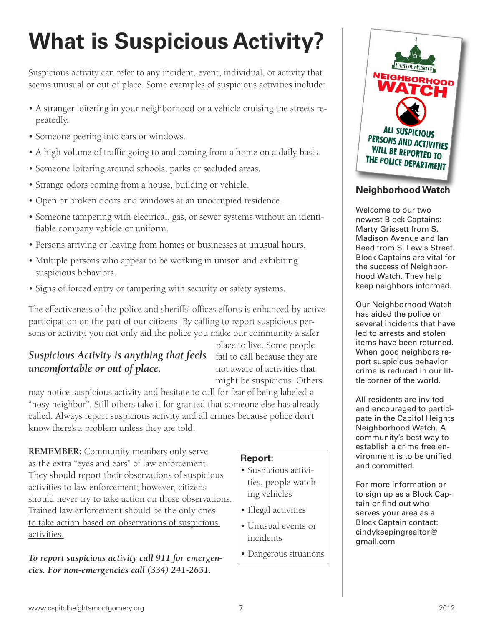# **What is Suspicious Activity?**

Suspicious activity can refer to any incident, event, individual, or activity that seems unusual or out of place. Some examples of suspicious activities include:

- A stranger loitering in your neighborhood or a vehicle cruising the streets repeatedly.
- Someone peering into cars or windows.
- A high volume of traffic going to and coming from a home on a daily basis.
- Someone loitering around schools, parks or secluded areas.
- Strange odors coming from a house, building or vehicle.
- Open or broken doors and windows at an unoccupied residence.
- Someone tampering with electrical, gas, or sewer systems without an identifiable company vehicle or uniform.
- Persons arriving or leaving from homes or businesses at unusual hours.
- Multiple persons who appear to be working in unison and exhibiting suspicious behaviors.
- Signs of forced entry or tampering with security or safety systems.

The effectiveness of the police and sheriffs' offices efforts is enhanced by active participation on the part of our citizens. By calling to report suspicious persons or activity, you not only aid the police you make our community a safer

#### **Suspicious Activity is anything that feels** fail to call because they are *uncomfortable or out of place.*

place to live. Some people not aware of activities that might be suspicious. Others

may notice suspicious activity and hesitate to call for fear of being labeled a "nosy neighbor". Still others take it for granted that someone else has already called. Always report suspicious activity and all crimes because police don't know there's a problem unless they are told.

**REMEMBER:** Community members only serve as the extra "eyes and ears" of law enforcement. They should report their observations of suspicious activities to law enforcement; however, citizens should never try to take action on those observations. Trained law enforcement should be the only ones to take action based on observations of suspicious activities.

*To report suspicious activity call 911 for emergencies. For non-emergencies call (334) 241-2651.*

#### **Report:**

- Suspicious activities, people watching vehicles
- Illegal activities
- Unusual events or incidents
- Dangerous situations



#### **NeighborhoodWatch**

Welcome to our two newest Block Captains: Marty Grissett from S. Madison Avenue and Ian Reed from S. Lewis Street. Block Captains are vital for the success of Neighborhood Watch. They help keep neighbors informed.

Our Neighborhood Watch has aided the police on several incidents that have led to arrests and stolen items have been returned. When good neighbors report suspicious behavior crime is reduced in our little corner of the world.

All residents are invited and encouraged to participate in the Capitol Heights Neighborhood Watch. A community's best way to establish a crime free environment is to be unified and committed.

For more information or to sign up as a Block Captain or find out who serves your area as a Block Captain contact: cindykeepingrealtor@ gmail.com